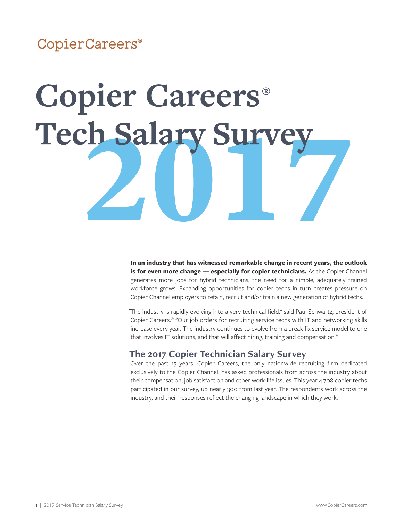# CopierCareers®

# **Copier Careers®** Tech Salary Surve

**In an industry that has witnessed remarkable change in recent years, the outlook is for even more change — especially for copier technicians.** As the Copier Channel generates more jobs for hybrid technicians, the need for a nimble, adequately trained workforce grows. Expanding opportunities for copier techs in turn creates pressure on Copier Channel employers to retain, recruit and/or train a new generation of hybrid techs.

"The industry is rapidly evolving into a very technical field," said Paul Schwartz, president of Copier Careers.® "Our job orders for recruiting service techs with IT and networking skills increase every year. The industry continues to evolve from a break-fix service model to one that involves IT solutions, and that will affect hiring, training and compensation."

# **The 2017 Copier Technician Salary Survey**

Over the past 15 years, Copier Careers, the only nationwide recruiting firm dedicated exclusively to the Copier Channel, has asked professionals from across the industry about their compensation, job satisfaction and other work-life issues. This year 4,708 copier techs participated in our survey, up nearly 300 from last year. The respondents work across the industry, and their responses reflect the changing landscape in which they work.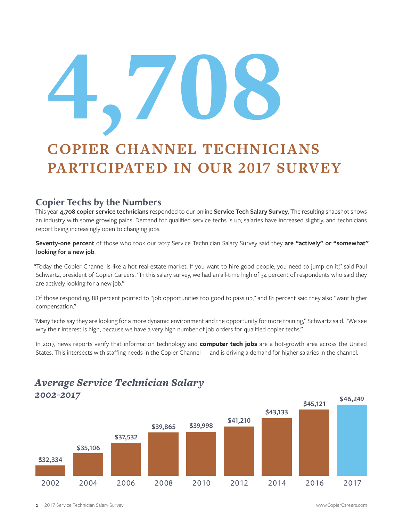# 4'708

# **COPIER CHANNEL TECHNICIANS PARTICIPATED IN OUR 2017 SURVEY**

# **Copier Techs by the Numbers**

This year **4,708 copier service technicians** responded to our online **Service Tech Salary Survey**. The resulting snapshot shows an industry with some growing pains. Demand for qualified service techs is up; salaries have increased slightly, and technicians report being increasingly open to changing jobs.

**Seventy-one percent** of those who took our 2017 Service Technician Salary Survey said they **are "actively" or "somewhat" looking for a new job**.

"Today the Copier Channel is like a hot real-estate market. If you want to hire good people, you need to jump on it," said Paul Schwartz, president of Copier Careers. "In this salary survey, we had an all-time high of 34 percent of respondents who said they are actively looking for a new job."

Of those responding, 88 percent pointed to "job opportunities too good to pass up," and 81 percent said they also "want higher compensation."

"Many techs say they are looking for a more dynamic environment and the opportunity for more training," Schwartz said. "We see why their interest is high, because we have a very high number of job orders for qualified copier techs."

In 2017, news reports verify that information technology and **computer tech jobs** are a hot-growth area across the United States. This intersects with staffing needs in the Copier Channel — and is driving a demand for higher salaries in the channel.



# *Average Service Technician Salary 2002-2017*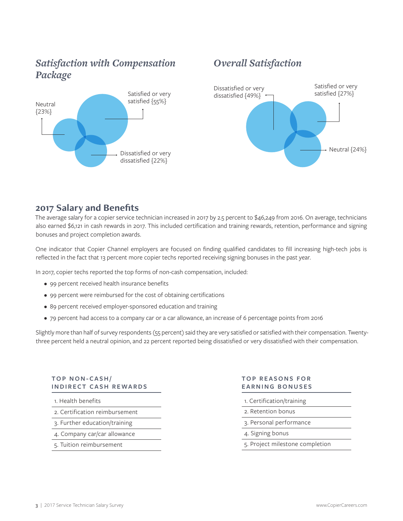# *Satisfaction with Compensation Package*



# *Overall Satisfaction*



# **2017 Salary and Benefits**

The average salary for a copier service technician increased in 2017 by 2.5 percent to \$46,249 from 2016. On average, technicians also earned \$6,121 in cash rewards in 2017. This included certification and training rewards, retention, performance and signing bonuses and project completion awards.

One indicator that Copier Channel employers are focused on finding qualified candidates to fill increasing high-tech jobs is reflected in the fact that 13 percent more copier techs reported receiving signing bonuses in the past year.

In 2017, copier techs reported the top forms of non-cash compensation, included:

- 99 percent received health insurance benefits
- 99 percent were reimbursed for the cost of obtaining certifications
- 89 percent received employer-sponsored education and training
- 79 percent had access to a company car or a car allowance, an increase of 6 percentage points from 2016

Slightly more than half of survey respondents (55 percent) said they are very satisfied or satisfied with their compensation. Twentythree percent held a neutral opinion, and 22 percent reported being dissatisfied or very dissatisfied with their compensation.

# **TOP NON-CASH/ INDIRECT CASH REWARDS**

- 1. Health benefits
- 2. Certification reimbursement
- 3. Further education/training
- 4. Company car/car allowance
- 5. Tuition reimbursement

## **TOP REASONS FOR EARNING BONUSES**

- 1. Certification/training
- 2. Retention bonus
- 3. Personal performance
- 4. Signing bonus
- 5. Project milestone completion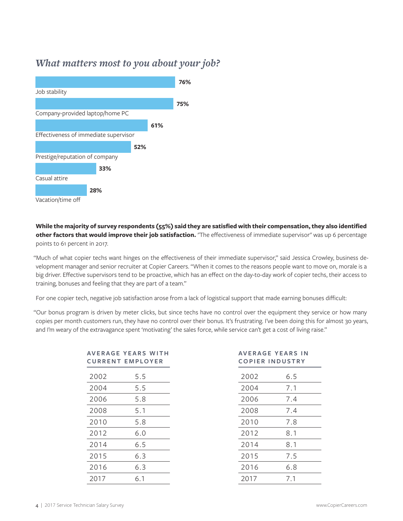# *What matters most to you about your job?*



# **While the majority of survey respondents (55%) said they are satisfied with their compensation, they also identified other factors that would improve their job satisfaction.** "The effectiveness of immediate supervisor" was up 6 percentage points to 61 percent in 2017.

"Much of what copier techs want hinges on the effectiveness of their immediate supervisor," said Jessica Crowley, business development manager and senior recruiter at Copier Careers. "When it comes to the reasons people want to move on, morale is a big driver. Effective supervisors tend to be proactive, which has an effect on the day-to-day work of copier techs, their access to training, bonuses and feeling that they are part of a team."

For one copier tech, negative job satisfaction arose from a lack of logistical support that made earning bonuses difficult:

"Our bonus program is driven by meter clicks, but since techs have no control over the equipment they service or how many copies per month customers run, they have no control over their bonus. It's frustrating. I've been doing this for almost 30 years, and I'm weary of the extravagance spent 'motivating' the sales force, while service can't get a cost of living raise."

| AVERAGE YEARS WITH<br><b>CURRENT EMPLOYER</b> |     | <b>AVERAGE YEARS IN</b><br><b>COPIER INDUSTRY</b> |     |
|-----------------------------------------------|-----|---------------------------------------------------|-----|
| 2002                                          | 5.5 | 2002                                              | 6.5 |
| 2004                                          | 5.5 | 2004                                              | 7.1 |
| 2006                                          | 5.8 | 2006                                              | 7.4 |
| 2008                                          | 5.1 | 2008                                              | 7.4 |
| 2010                                          | 5.8 | 2010                                              | 7.8 |
| 2012                                          | 6.0 | 2012                                              | 8.1 |
| 2014                                          | 6.5 | 2014                                              | 8.1 |
| 2015                                          | 6.3 | 2015                                              | 7.5 |
| 2016                                          | 6.3 | 2016                                              | 6.8 |
| 2017                                          | 6.1 | 2017                                              | 7.1 |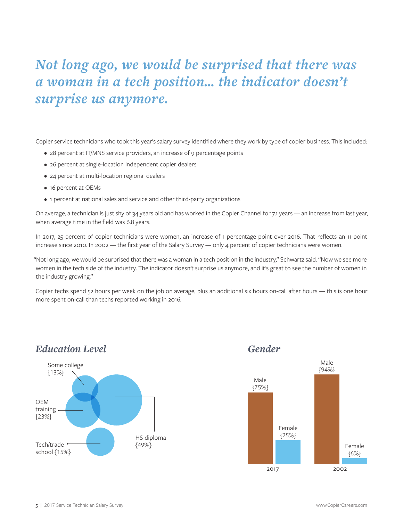# *Not long ago, we would be surprised that there was a woman in a tech position… the indicator doesn't surprise us anymore.*

Copier service technicians who took this year's salary survey identified where they work by type of copier business. This included:

- 28 percent at IT/MNS service providers, an increase of 9 percentage points
- 26 percent at single-location independent copier dealers
- 24 percent at multi-location regional dealers
- 16 percent at OEMs
- 1 percent at national sales and service and other third-party organizations

On average, a technician is just shy of 34 years old and has worked in the Copier Channel for 7.1 years — an increase from last year, when average time in the field was 6.8 years.

In 2017, 25 percent of copier technicians were women, an increase of 1 percentage point over 2016. That reflects an 11-point increase since 2010. In 2002 — the first year of the Salary Survey — only 4 percent of copier technicians were women.

"Not long ago, we would be surprised that there was a woman in a tech position in the industry," Schwartz said. "Now we see more women in the tech side of the industry. The indicator doesn't surprise us anymore, and it's great to see the number of women in the industry growing."

Copier techs spend 52 hours per week on the job on average, plus an additional six hours on-call after hours — this is one hour more spent on-call than techs reported working in 2016.

# *Education Level Gender*



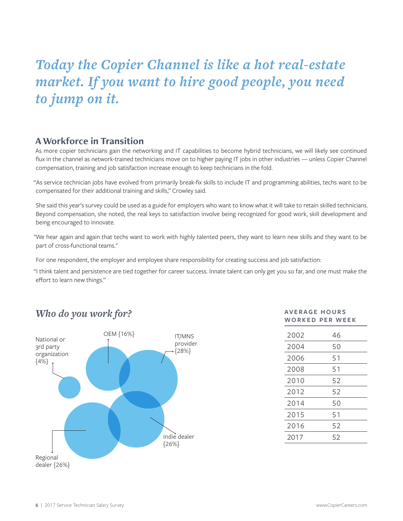# *Today the Copier Channel is like a hot real-estate market. If you want to hire good people, you need to jump on it.*

# **A Workforce in Transition**

As more copier technicians gain the networking and IT capabilities to become hybrid technicians, we will likely see continued flux in the channel as network-trained technicians move on to higher paying IT jobs in other industries — unless Copier Channel compensation, training and job satisfaction increase enough to keep technicians in the fold.

"As service technician jobs have evolved from primarily break-fix skills to include IT and programming abilities, techs want to be compensated for their additional training and skills," Crowley said.

She said this year's survey could be used as a guide for employers who want to know what it will take to retain skilled technicians. Beyond compensation, she noted, the real keys to satisfaction involve being recognized for good work, skill development and being encouraged to innovate.

"We hear again and again that techs want to work with highly talented peers, they want to learn new skills and they want to be part of cross-functional teams."

For one respondent, the employer and employee share responsibility for creating success and job satisfaction:

"I think talent and persistence are tied together for career success. Innate talent can only get you so far, and one must make the effort to learn new things."

# *Who do you work for?*



# **AV E R A G E H O U R S WORKED PER WEEK**

| 2002 | 46 |
|------|----|
| 2004 | 50 |
| 2006 | 51 |
| 2008 | 51 |
| 2010 | 52 |
| 2012 | 52 |
| 2014 | 50 |
| 2015 | 51 |
| 2016 | 52 |
| 2017 | 52 |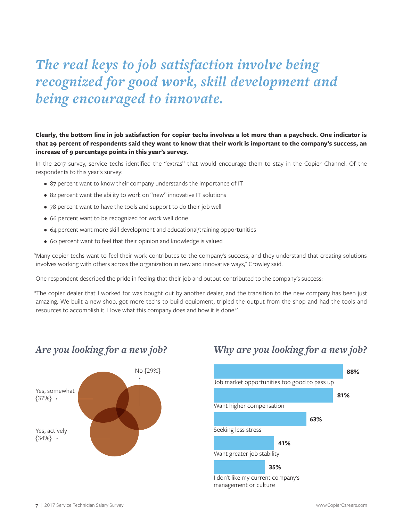# *The real keys to job satisfaction involve being recognized for good work, skill development and being encouraged to innovate.*

# **Clearly, the bottom line in job satisfaction for copier techs involves a lot more than a paycheck. One indicator is that 29 percent of respondents said they want to know that their work is important to the company's success, an increase of 9 percentage points in this year's survey.**

In the 2017 survey, service techs identified the "extras" that would encourage them to stay in the Copier Channel. Of the respondents to this year's survey:

- 87 percent want to know their company understands the importance of IT
- 82 percent want the ability to work on "new" innovative IT solutions
- 78 percent want to have the tools and support to do their job well
- 66 percent want to be recognized for work well done
- 64 percent want more skill development and educational/training opportunities
- 60 percent want to feel that their opinion and knowledge is valued

"Many copier techs want to feel their work contributes to the company's success, and they understand that creating solutions involves working with others across the organization in new and innovative ways," Crowley said.

One respondent described the pride in feeling that their job and output contributed to the company's success:

"The copier dealer that I worked for was bought out by another dealer, and the transition to the new company has been just amazing. We built a new shop, got more techs to build equipment, tripled the output from the shop and had the tools and resources to accomplish it. I love what this company does and how it is done."



# *Are you looking for a new job? Why are you looking for a new job?*